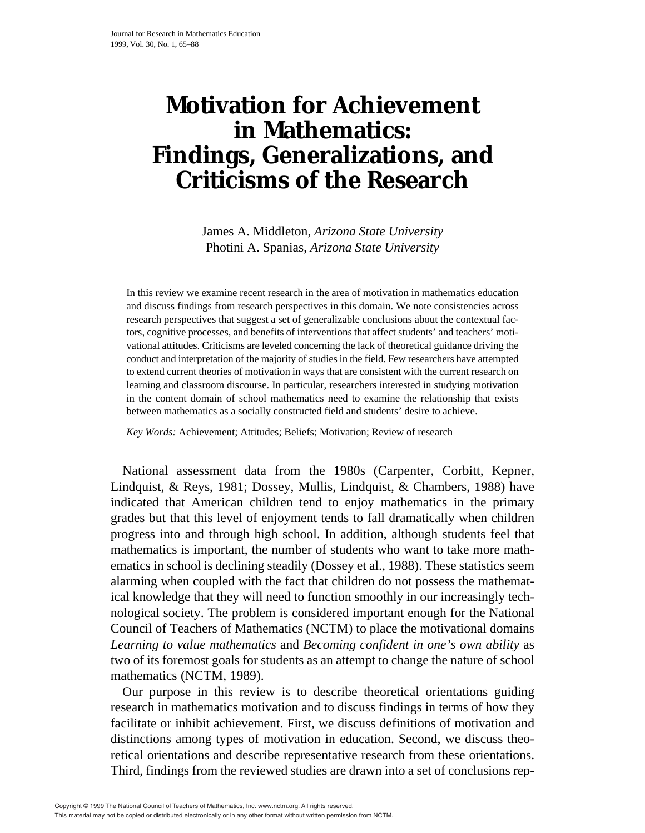# **Motivation for Achievement in Mathematics: Findings, Generalizations, and Criticisms of the Research**

James A. Middleton, *Arizona State University* Photini A. Spanias, *Arizona State University*

In this review we examine recent research in the area of motivation in mathematics education and discuss findings from research perspectives in this domain. We note consistencies across research perspectives that suggest a set of generalizable conclusions about the contextual factors, cognitive processes, and benefits of interventions that affect students' and teachers' motivational attitudes. Criticisms are leveled concerning the lack of theoretical guidance driving the conduct and interpretation of the majority of studies in the field. Few researchers have attempted to extend current theories of motivation in ways that are consistent with the current research on learning and classroom discourse. In particular, researchers interested in studying motivation in the content domain of school mathematics need to examine the relationship that exists between mathematics as a socially constructed field and students' desire to achieve.

*Key Words:* Achievement; Attitudes; Beliefs; Motivation; Review of research

National assessment data from the 1980s (Carpenter, Corbitt, Kepner, Lindquist, & Reys, 1981; Dossey, Mullis, Lindquist, & Chambers, 1988) have indicated that American children tend to enjoy mathematics in the primary grades but that this level of enjoyment tends to fall dramatically when children progress into and through high school. In addition, although students feel that mathematics is important, the number of students who want to take more mathematics in school is declining steadily (Dossey et al., 1988). These statistics seem alarming when coupled with the fact that children do not possess the mathematical knowledge that they will need to function smoothly in our increasingly technological society. The problem is considered important enough for the National Council of Teachers of Mathematics (NCTM) to place the motivational domains *Learning to value mathematics* and *Becoming confident in one's own ability* as two of its foremost goals for students as an attempt to change the nature of school mathematics (NCTM, 1989).

Our purpose in this review is to describe theoretical orientations guiding research in mathematics motivation and to discuss findings in terms of how they facilitate or inhibit achievement. First, we discuss definitions of motivation and distinctions among types of motivation in education. Second, we discuss theoretical orientations and describe representative research from these orientations. Third, findings from the reviewed studies are drawn into a set of conclusions rep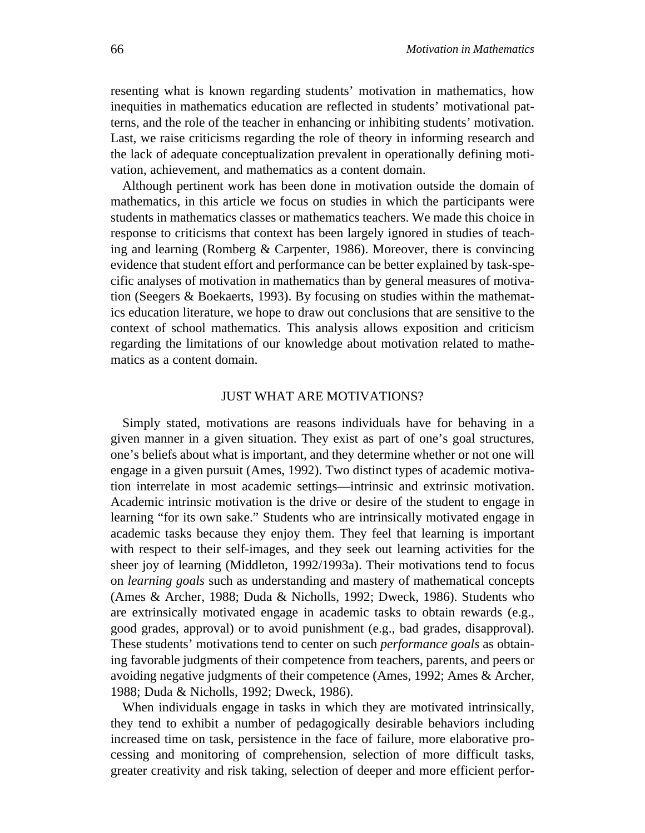resenting what is known regarding students' motivation in mathematics, how inequities in mathematics education are reflected in students' motivational patterns, and the role of the teacher in enhancing or inhibiting students' motivation. Last, we raise criticisms regarding the role of theory in informing research and the lack of adequate conceptualization prevalent in operationally defining motivation, achievement, and mathematics as a content domain.

Although pertinent work has been done in motivation outside the domain of mathematics, in this article we focus on studies in which the participants were students in mathematics classes or mathematics teachers. We made this choice in response to criticisms that context has been largely ignored in studies of teaching and learning (Romberg & Carpenter, 1986). Moreover, there is convincing evidence that student effort and performance can be better explained by task-specific analyses of motivation in mathematics than by general measures of motivation (Seegers & Boekaerts, 1993). By focusing on studies within the mathematics education literature, we hope to draw out conclusions that are sensitive to the context of school mathematics. This analysis allows exposition and criticism regarding the limitations of our knowledge about motivation related to mathematics as a content domain.

### JUST WHAT ARE MOTIVATIONS?

Simply stated, motivations are reasons individuals have for behaving in a given manner in a given situation. They exist as part of one's goal structures, one's beliefs about what is important, and they determine whether or not one will engage in a given pursuit (Ames, 1992). Two distinct types of academic motivation interrelate in most academic settings—intrinsic and extrinsic motivation. Academic intrinsic motivation is the drive or desire of the student to engage in learning "for its own sake." Students who are intrinsically motivated engage in academic tasks because they enjoy them. They feel that learning is important with respect to their self-images, and they seek out learning activities for the sheer joy of learning (Middleton, 1992/1993a). Their motivations tend to focus on *learning goals* such as understanding and mastery of mathematical concepts (Ames & Archer, 1988; Duda & Nicholls, 1992; Dweck, 1986). Students who are extrinsically motivated engage in academic tasks to obtain rewards (e.g., good grades, approval) or to avoid punishment (e.g., bad grades, disapproval). These students' motivations tend to center on such *performance goals* as obtaining favorable judgments of their competence from teachers, parents, and peers or avoiding negative judgments of their competence (Ames, 1992; Ames & Archer, 1988; Duda & Nicholls, 1992; Dweck, 1986).

When individuals engage in tasks in which they are motivated intrinsically, they tend to exhibit a number of pedagogically desirable behaviors including increased time on task, persistence in the face of failure, more elaborative processing and monitoring of comprehension, selection of more difficult tasks, greater creativity and risk taking, selection of deeper and more efficient perfor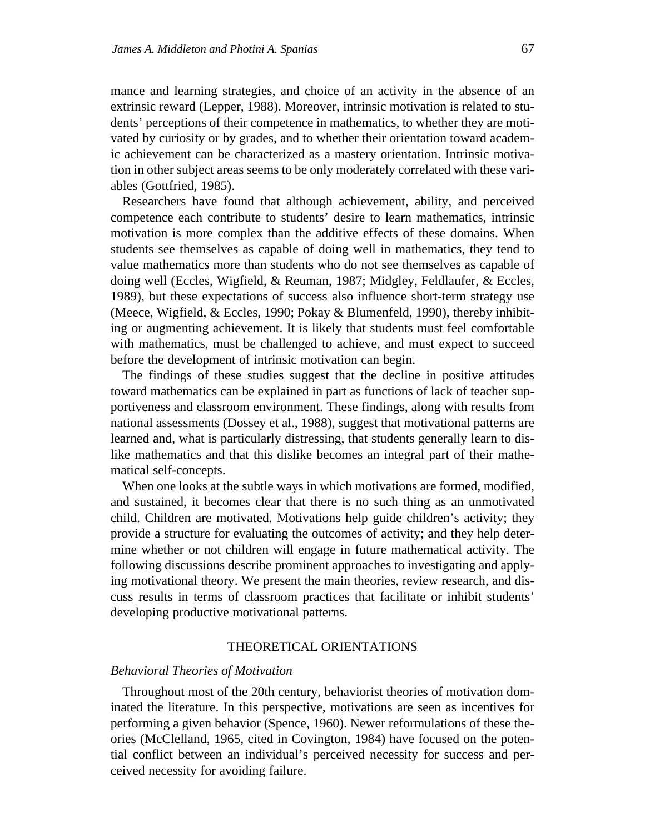mance and learning strategies, and choice of an activity in the absence of an extrinsic reward (Lepper, 1988). Moreover, intrinsic motivation is related to students' perceptions of their competence in mathematics, to whether they are motivated by curiosity or by grades, and to whether their orientation toward academic achievement can be characterized as a mastery orientation. Intrinsic motivation in other subject areas seems to be only moderately correlated with these variables (Gottfried, 1985).

Researchers have found that although achievement, ability, and perceived competence each contribute to students' desire to learn mathematics, intrinsic motivation is more complex than the additive effects of these domains. When students see themselves as capable of doing well in mathematics, they tend to value mathematics more than students who do not see themselves as capable of doing well (Eccles, Wigfield, & Reuman, 1987; Midgley, Feldlaufer, & Eccles, 1989), but these expectations of success also influence short-term strategy use (Meece, Wigfield, & Eccles, 1990; Pokay & Blumenfeld, 1990), thereby inhibiting or augmenting achievement. It is likely that students must feel comfortable with mathematics, must be challenged to achieve, and must expect to succeed before the development of intrinsic motivation can begin.

The findings of these studies suggest that the decline in positive attitudes toward mathematics can be explained in part as functions of lack of teacher supportiveness and classroom environment. These findings, along with results from national assessments (Dossey et al., 1988), suggest that motivational patterns are learned and, what is particularly distressing, that students generally learn to dislike mathematics and that this dislike becomes an integral part of their mathematical self-concepts.

When one looks at the subtle ways in which motivations are formed, modified, and sustained, it becomes clear that there is no such thing as an unmotivated child. Children are motivated. Motivations help guide children's activity; they provide a structure for evaluating the outcomes of activity; and they help determine whether or not children will engage in future mathematical activity. The following discussions describe prominent approaches to investigating and applying motivational theory. We present the main theories, review research, and discuss results in terms of classroom practices that facilitate or inhibit students' developing productive motivational patterns.

#### THEORETICAL ORIENTATIONS

# *Behavioral Theories of Motivation*

Throughout most of the 20th century, behaviorist theories of motivation dominated the literature. In this perspective, motivations are seen as incentives for performing a given behavior (Spence, 1960). Newer reformulations of these theories (McClelland, 1965, cited in Covington, 1984) have focused on the potential conflict between an individual's perceived necessity for success and perceived necessity for avoiding failure.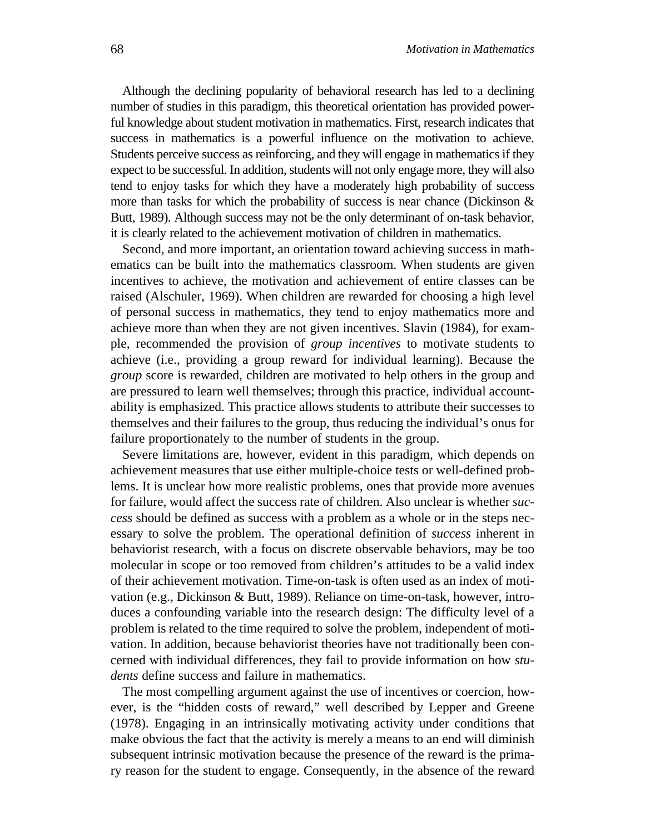Although the declining popularity of behavioral research has led to a declining number of studies in this paradigm, this theoretical orientation has provided powerful knowledge about student motivation in mathematics. First, research indicates that success in mathematics is a powerful influence on the motivation to achieve. Students perceive success as reinforcing, and they will engage in mathematics if they expect to be successful. In addition, students will not only engage more, they will also tend to enjoy tasks for which they have a moderately high probability of success more than tasks for which the probability of success is near chance (Dickinson  $\&$ Butt, 1989). Although success may not be the only determinant of on-task behavior, it is clearly related to the achievement motivation of children in mathematics.

Second, and more important, an orientation toward achieving success in mathematics can be built into the mathematics classroom. When students are given incentives to achieve, the motivation and achievement of entire classes can be raised (Alschuler, 1969). When children are rewarded for choosing a high level of personal success in mathematics, they tend to enjoy mathematics more and achieve more than when they are not given incentives. Slavin (1984), for example, recommended the provision of *group incentives* to motivate students to achieve (i.e., providing a group reward for individual learning). Because the *group* score is rewarded, children are motivated to help others in the group and are pressured to learn well themselves; through this practice, individual accountability is emphasized. This practice allows students to attribute their successes to themselves and their failures to the group, thus reducing the individual's onus for failure proportionately to the number of students in the group.

Severe limitations are, however, evident in this paradigm, which depends on achievement measures that use either multiple-choice tests or well-defined problems. It is unclear how more realistic problems, ones that provide more avenues for failure, would affect the success rate of children. Also unclear is whether *success* should be defined as success with a problem as a whole or in the steps necessary to solve the problem. The operational definition of *success* inherent in behaviorist research, with a focus on discrete observable behaviors, may be too molecular in scope or too removed from children's attitudes to be a valid index of their achievement motivation. Time-on-task is often used as an index of motivation (e.g., Dickinson & Butt, 1989). Reliance on time-on-task, however, introduces a confounding variable into the research design: The difficulty level of a problem is related to the time required to solve the problem, independent of motivation. In addition, because behaviorist theories have not traditionally been concerned with individual differences, they fail to provide information on how *students* define success and failure in mathematics.

The most compelling argument against the use of incentives or coercion, however, is the "hidden costs of reward," well described by Lepper and Greene (1978). Engaging in an intrinsically motivating activity under conditions that make obvious the fact that the activity is merely a means to an end will diminish subsequent intrinsic motivation because the presence of the reward is the primary reason for the student to engage. Consequently, in the absence of the reward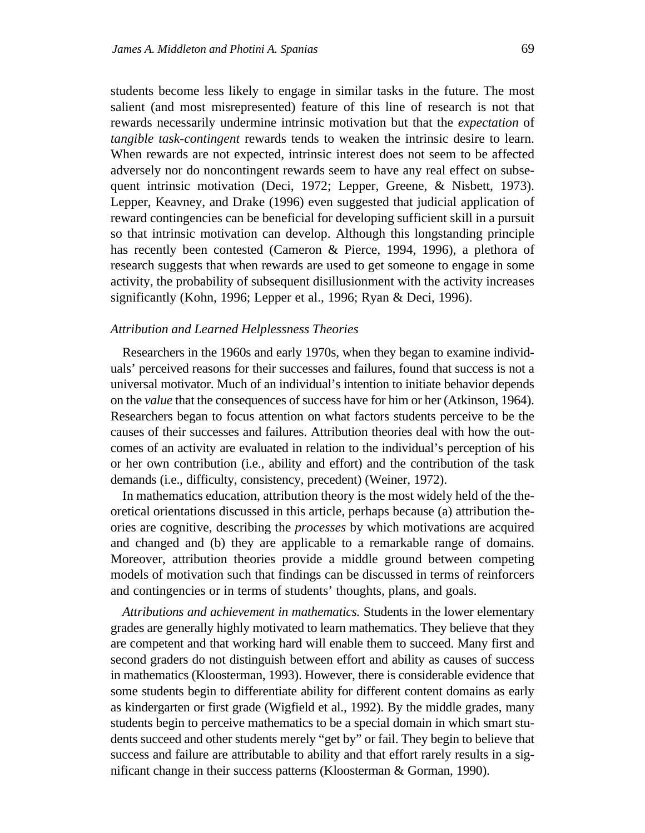students become less likely to engage in similar tasks in the future. The most salient (and most misrepresented) feature of this line of research is not that rewards necessarily undermine intrinsic motivation but that the *expectation* of *tangible task-contingent* rewards tends to weaken the intrinsic desire to learn. When rewards are not expected, intrinsic interest does not seem to be affected adversely nor do noncontingent rewards seem to have any real effect on subsequent intrinsic motivation (Deci, 1972; Lepper, Greene, & Nisbett, 1973). Lepper, Keavney, and Drake (1996) even suggested that judicial application of reward contingencies can be beneficial for developing sufficient skill in a pursuit so that intrinsic motivation can develop. Although this longstanding principle has recently been contested (Cameron & Pierce, 1994, 1996), a plethora of research suggests that when rewards are used to get someone to engage in some activity, the probability of subsequent disillusionment with the activity increases significantly (Kohn, 1996; Lepper et al., 1996; Ryan & Deci, 1996).

# *Attribution and Learned Helplessness Theories*

Researchers in the 1960s and early 1970s, when they began to examine individuals' perceived reasons for their successes and failures, found that success is not a universal motivator. Much of an individual's intention to initiate behavior depends on the *value* that the consequences of success have for him or her (Atkinson, 1964). Researchers began to focus attention on what factors students perceive to be the causes of their successes and failures. Attribution theories deal with how the outcomes of an activity are evaluated in relation to the individual's perception of his or her own contribution (i.e., ability and effort) and the contribution of the task demands (i.e., difficulty, consistency, precedent) (Weiner, 1972).

In mathematics education, attribution theory is the most widely held of the theoretical orientations discussed in this article, perhaps because (a) attribution theories are cognitive, describing the *processes* by which motivations are acquired and changed and (b) they are applicable to a remarkable range of domains. Moreover, attribution theories provide a middle ground between competing models of motivation such that findings can be discussed in terms of reinforcers and contingencies or in terms of students' thoughts, plans, and goals.

*Attributions and achievement in mathematics.* Students in the lower elementary grades are generally highly motivated to learn mathematics. They believe that they are competent and that working hard will enable them to succeed. Many first and second graders do not distinguish between effort and ability as causes of success in mathematics (Kloosterman, 1993). However, there is considerable evidence that some students begin to differentiate ability for different content domains as early as kindergarten or first grade (Wigfield et al., 1992). By the middle grades, many students begin to perceive mathematics to be a special domain in which smart students succeed and other students merely "get by" or fail. They begin to believe that success and failure are attributable to ability and that effort rarely results in a significant change in their success patterns (Kloosterman & Gorman, 1990).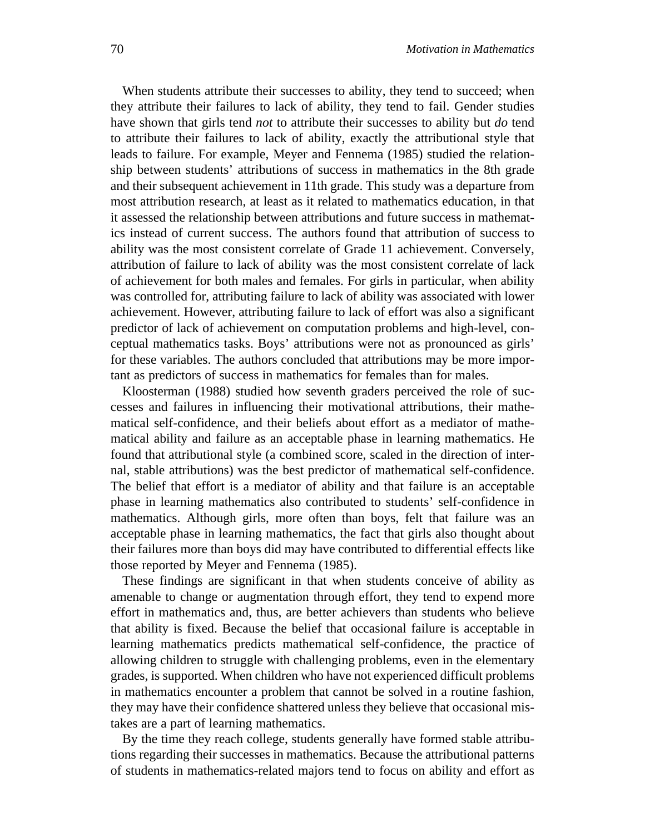When students attribute their successes to ability, they tend to succeed; when they attribute their failures to lack of ability, they tend to fail. Gender studies have shown that girls tend *not* to attribute their successes to ability but *do* tend to attribute their failures to lack of ability, exactly the attributional style that leads to failure. For example, Meyer and Fennema (1985) studied the relationship between students' attributions of success in mathematics in the 8th grade and their subsequent achievement in 11th grade. This study was a departure from most attribution research, at least as it related to mathematics education, in that it assessed the relationship between attributions and future success in mathematics instead of current success. The authors found that attribution of success to ability was the most consistent correlate of Grade 11 achievement. Conversely, attribution of failure to lack of ability was the most consistent correlate of lack of achievement for both males and females. For girls in particular, when ability was controlled for, attributing failure to lack of ability was associated with lower achievement. However, attributing failure to lack of effort was also a significant predictor of lack of achievement on computation problems and high-level, conceptual mathematics tasks. Boys' attributions were not as pronounced as girls' for these variables. The authors concluded that attributions may be more important as predictors of success in mathematics for females than for males.

Kloosterman (1988) studied how seventh graders perceived the role of successes and failures in influencing their motivational attributions, their mathematical self-confidence, and their beliefs about effort as a mediator of mathematical ability and failure as an acceptable phase in learning mathematics. He found that attributional style (a combined score, scaled in the direction of internal, stable attributions) was the best predictor of mathematical self-confidence. The belief that effort is a mediator of ability and that failure is an acceptable phase in learning mathematics also contributed to students' self-confidence in mathematics. Although girls, more often than boys, felt that failure was an acceptable phase in learning mathematics, the fact that girls also thought about their failures more than boys did may have contributed to differential effects like those reported by Meyer and Fennema (1985).

These findings are significant in that when students conceive of ability as amenable to change or augmentation through effort, they tend to expend more effort in mathematics and, thus, are better achievers than students who believe that ability is fixed. Because the belief that occasional failure is acceptable in learning mathematics predicts mathematical self-confidence, the practice of allowing children to struggle with challenging problems, even in the elementary grades, is supported. When children who have not experienced difficult problems in mathematics encounter a problem that cannot be solved in a routine fashion, they may have their confidence shattered unless they believe that occasional mistakes are a part of learning mathematics.

By the time they reach college, students generally have formed stable attributions regarding their successes in mathematics. Because the attributional patterns of students in mathematics-related majors tend to focus on ability and effort as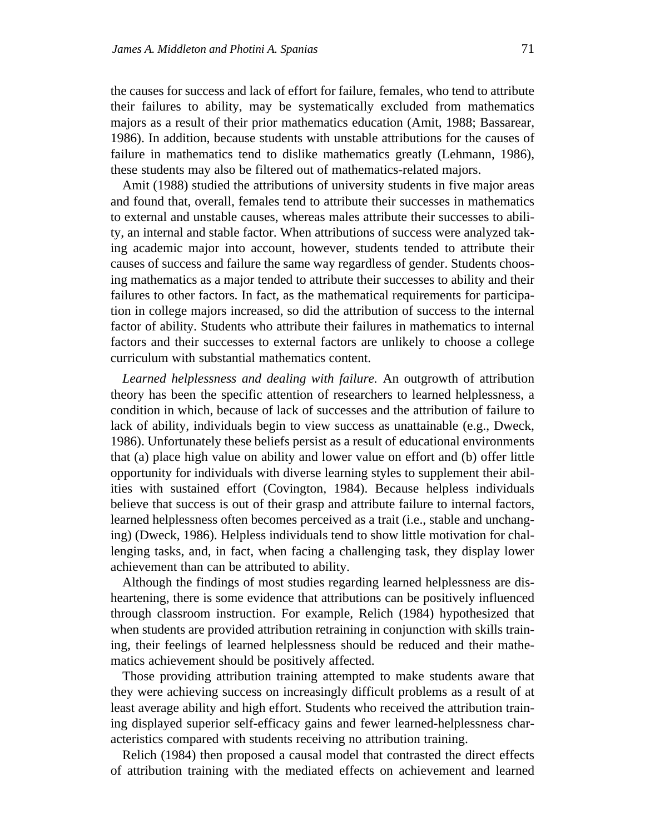the causes for success and lack of effort for failure, females, who tend to attribute their failures to ability, may be systematically excluded from mathematics majors as a result of their prior mathematics education (Amit, 1988; Bassarear, 1986). In addition, because students with unstable attributions for the causes of failure in mathematics tend to dislike mathematics greatly (Lehmann, 1986), these students may also be filtered out of mathematics-related majors.

Amit (1988) studied the attributions of university students in five major areas and found that, overall, females tend to attribute their successes in mathematics to external and unstable causes, whereas males attribute their successes to ability, an internal and stable factor. When attributions of success were analyzed taking academic major into account, however, students tended to attribute their causes of success and failure the same way regardless of gender. Students choosing mathematics as a major tended to attribute their successes to ability and their failures to other factors. In fact, as the mathematical requirements for participation in college majors increased, so did the attribution of success to the internal factor of ability. Students who attribute their failures in mathematics to internal factors and their successes to external factors are unlikely to choose a college curriculum with substantial mathematics content.

*Learned helplessness and dealing with failure.* An outgrowth of attribution theory has been the specific attention of researchers to learned helplessness, a condition in which, because of lack of successes and the attribution of failure to lack of ability, individuals begin to view success as unattainable (e.g., Dweck, 1986). Unfortunately these beliefs persist as a result of educational environments that (a) place high value on ability and lower value on effort and (b) offer little opportunity for individuals with diverse learning styles to supplement their abilities with sustained effort (Covington, 1984). Because helpless individuals believe that success is out of their grasp and attribute failure to internal factors, learned helplessness often becomes perceived as a trait (i.e., stable and unchanging) (Dweck, 1986). Helpless individuals tend to show little motivation for challenging tasks, and, in fact, when facing a challenging task, they display lower achievement than can be attributed to ability.

Although the findings of most studies regarding learned helplessness are disheartening, there is some evidence that attributions can be positively influenced through classroom instruction. For example, Relich (1984) hypothesized that when students are provided attribution retraining in conjunction with skills training, their feelings of learned helplessness should be reduced and their mathematics achievement should be positively affected.

Those providing attribution training attempted to make students aware that they were achieving success on increasingly difficult problems as a result of at least average ability and high effort. Students who received the attribution training displayed superior self-efficacy gains and fewer learned-helplessness characteristics compared with students receiving no attribution training.

Relich (1984) then proposed a causal model that contrasted the direct effects of attribution training with the mediated effects on achievement and learned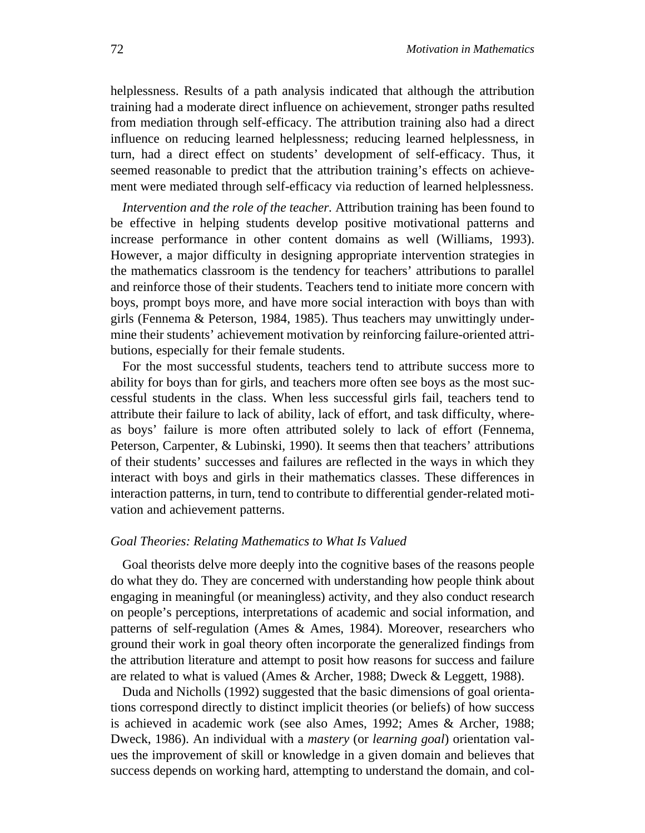helplessness. Results of a path analysis indicated that although the attribution training had a moderate direct influence on achievement, stronger paths resulted from mediation through self-efficacy. The attribution training also had a direct influence on reducing learned helplessness; reducing learned helplessness, in turn, had a direct effect on students' development of self-efficacy. Thus, it seemed reasonable to predict that the attribution training's effects on achievement were mediated through self-efficacy via reduction of learned helplessness.

*Intervention and the role of the teacher.* Attribution training has been found to be effective in helping students develop positive motivational patterns and increase performance in other content domains as well (Williams, 1993). However, a major difficulty in designing appropriate intervention strategies in the mathematics classroom is the tendency for teachers' attributions to parallel and reinforce those of their students. Teachers tend to initiate more concern with boys, prompt boys more, and have more social interaction with boys than with girls (Fennema & Peterson, 1984, 1985). Thus teachers may unwittingly undermine their students' achievement motivation by reinforcing failure-oriented attributions, especially for their female students.

For the most successful students, teachers tend to attribute success more to ability for boys than for girls, and teachers more often see boys as the most successful students in the class. When less successful girls fail, teachers tend to attribute their failure to lack of ability, lack of effort, and task difficulty, whereas boys' failure is more often attributed solely to lack of effort (Fennema, Peterson, Carpenter, & Lubinski, 1990). It seems then that teachers' attributions of their students' successes and failures are reflected in the ways in which they interact with boys and girls in their mathematics classes. These differences in interaction patterns, in turn, tend to contribute to differential gender-related motivation and achievement patterns.

### *Goal Theories: Relating Mathematics to What Is Valued*

Goal theorists delve more deeply into the cognitive bases of the reasons people do what they do. They are concerned with understanding how people think about engaging in meaningful (or meaningless) activity, and they also conduct research on people's perceptions, interpretations of academic and social information, and patterns of self-regulation (Ames & Ames, 1984). Moreover, researchers who ground their work in goal theory often incorporate the generalized findings from the attribution literature and attempt to posit how reasons for success and failure are related to what is valued (Ames & Archer, 1988; Dweck & Leggett, 1988).

Duda and Nicholls (1992) suggested that the basic dimensions of goal orientations correspond directly to distinct implicit theories (or beliefs) of how success is achieved in academic work (see also Ames, 1992; Ames & Archer, 1988; Dweck, 1986). An individual with a *mastery* (or *learning goal*) orientation values the improvement of skill or knowledge in a given domain and believes that success depends on working hard, attempting to understand the domain, and col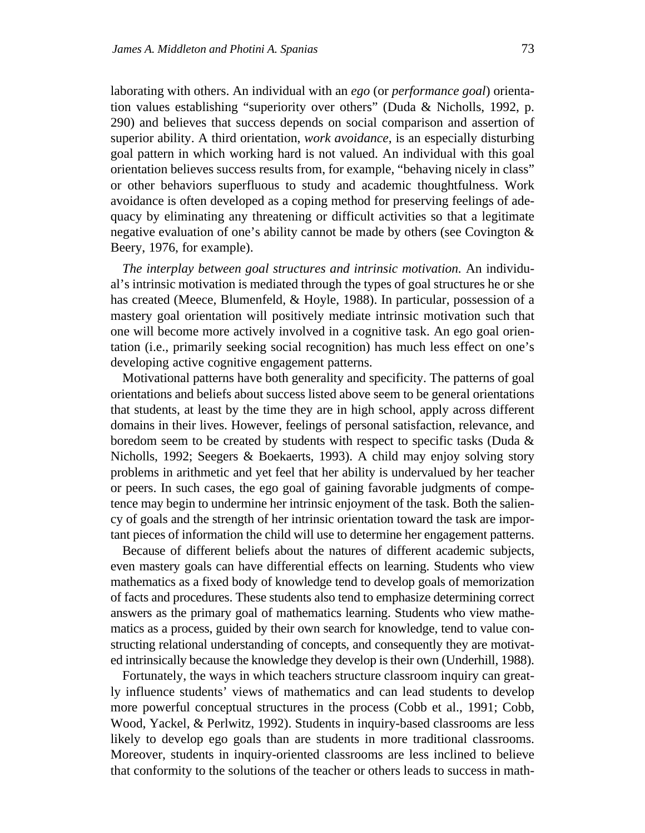laborating with others. An individual with an *ego* (or *performance goal*) orientation values establishing "superiority over others" (Duda & Nicholls, 1992, p. 290) and believes that success depends on social comparison and assertion of superior ability. A third orientation, *work avoidance*, is an especially disturbing goal pattern in which working hard is not valued. An individual with this goal orientation believes success results from, for example, "behaving nicely in class" or other behaviors superfluous to study and academic thoughtfulness. Work avoidance is often developed as a coping method for preserving feelings of adequacy by eliminating any threatening or difficult activities so that a legitimate negative evaluation of one's ability cannot be made by others (see Covington & Beery, 1976, for example).

*The interplay between goal structures and intrinsic motivation.* An individual's intrinsic motivation is mediated through the types of goal structures he or she has created (Meece, Blumenfeld, & Hoyle, 1988). In particular, possession of a mastery goal orientation will positively mediate intrinsic motivation such that one will become more actively involved in a cognitive task. An ego goal orientation (i.e., primarily seeking social recognition) has much less effect on one's developing active cognitive engagement patterns.

Motivational patterns have both generality and specificity. The patterns of goal orientations and beliefs about success listed above seem to be general orientations that students, at least by the time they are in high school, apply across different domains in their lives. However, feelings of personal satisfaction, relevance, and boredom seem to be created by students with respect to specific tasks (Duda & Nicholls, 1992; Seegers & Boekaerts, 1993). A child may enjoy solving story problems in arithmetic and yet feel that her ability is undervalued by her teacher or peers. In such cases, the ego goal of gaining favorable judgments of competence may begin to undermine her intrinsic enjoyment of the task. Both the saliency of goals and the strength of her intrinsic orientation toward the task are important pieces of information the child will use to determine her engagement patterns.

Because of different beliefs about the natures of different academic subjects, even mastery goals can have differential effects on learning. Students who view mathematics as a fixed body of knowledge tend to develop goals of memorization of facts and procedures. These students also tend to emphasize determining correct answers as the primary goal of mathematics learning. Students who view mathematics as a process, guided by their own search for knowledge, tend to value constructing relational understanding of concepts, and consequently they are motivated intrinsically because the knowledge they develop is their own (Underhill, 1988).

Fortunately, the ways in which teachers structure classroom inquiry can greatly influence students' views of mathematics and can lead students to develop more powerful conceptual structures in the process (Cobb et al., 1991; Cobb, Wood, Yackel, & Perlwitz, 1992). Students in inquiry-based classrooms are less likely to develop ego goals than are students in more traditional classrooms. Moreover, students in inquiry-oriented classrooms are less inclined to believe that conformity to the solutions of the teacher or others leads to success in math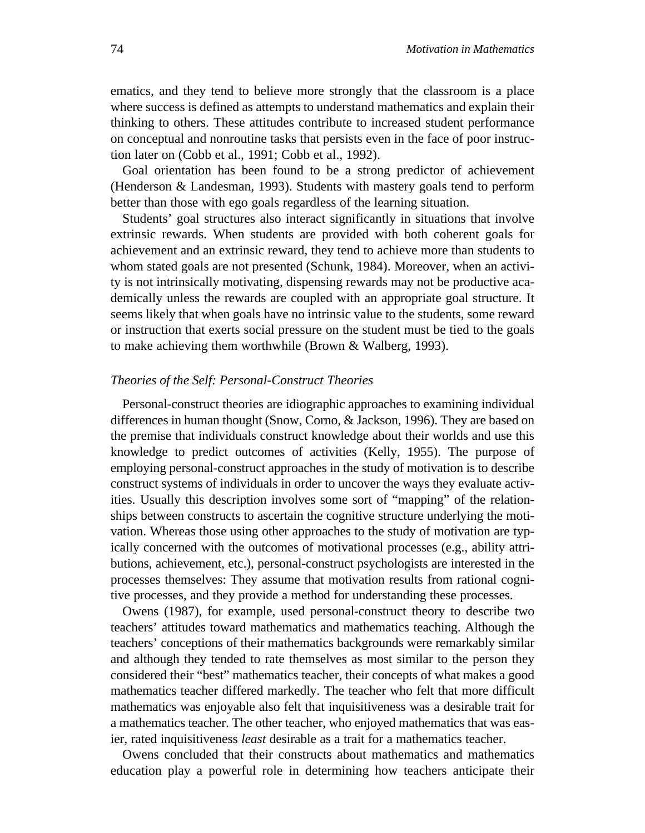ematics, and they tend to believe more strongly that the classroom is a place where success is defined as attempts to understand mathematics and explain their thinking to others. These attitudes contribute to increased student performance on conceptual and nonroutine tasks that persists even in the face of poor instruction later on (Cobb et al., 1991; Cobb et al., 1992).

Goal orientation has been found to be a strong predictor of achievement (Henderson & Landesman, 1993). Students with mastery goals tend to perform better than those with ego goals regardless of the learning situation.

Students' goal structures also interact significantly in situations that involve extrinsic rewards. When students are provided with both coherent goals for achievement and an extrinsic reward, they tend to achieve more than students to whom stated goals are not presented (Schunk, 1984). Moreover, when an activity is not intrinsically motivating, dispensing rewards may not be productive academically unless the rewards are coupled with an appropriate goal structure. It seems likely that when goals have no intrinsic value to the students, some reward or instruction that exerts social pressure on the student must be tied to the goals to make achieving them worthwhile (Brown & Walberg, 1993).

# *Theories of the Self: Personal-Construct Theories*

Personal-construct theories are idiographic approaches to examining individual differences in human thought (Snow, Corno, & Jackson, 1996). They are based on the premise that individuals construct knowledge about their worlds and use this knowledge to predict outcomes of activities (Kelly, 1955). The purpose of employing personal-construct approaches in the study of motivation is to describe construct systems of individuals in order to uncover the ways they evaluate activities. Usually this description involves some sort of "mapping" of the relationships between constructs to ascertain the cognitive structure underlying the motivation. Whereas those using other approaches to the study of motivation are typically concerned with the outcomes of motivational processes (e.g., ability attributions, achievement, etc.), personal-construct psychologists are interested in the processes themselves: They assume that motivation results from rational cognitive processes, and they provide a method for understanding these processes.

Owens (1987), for example, used personal-construct theory to describe two teachers' attitudes toward mathematics and mathematics teaching. Although the teachers' conceptions of their mathematics backgrounds were remarkably similar and although they tended to rate themselves as most similar to the person they considered their "best" mathematics teacher, their concepts of what makes a good mathematics teacher differed markedly. The teacher who felt that more difficult mathematics was enjoyable also felt that inquisitiveness was a desirable trait for a mathematics teacher. The other teacher, who enjoyed mathematics that was easier, rated inquisitiveness *least* desirable as a trait for a mathematics teacher.

Owens concluded that their constructs about mathematics and mathematics education play a powerful role in determining how teachers anticipate their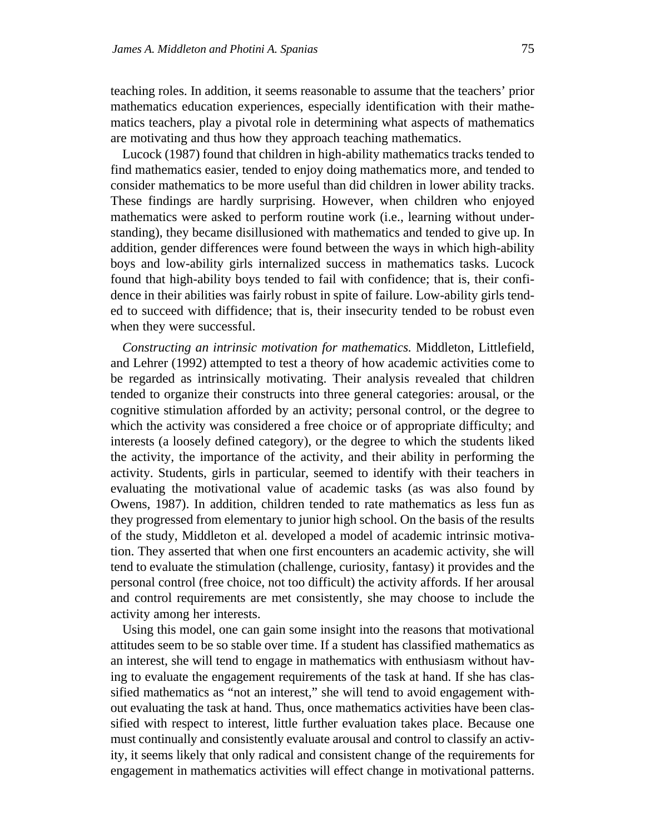teaching roles. In addition, it seems reasonable to assume that the teachers' prior mathematics education experiences, especially identification with their mathematics teachers, play a pivotal role in determining what aspects of mathematics are motivating and thus how they approach teaching mathematics.

Lucock (1987) found that children in high-ability mathematics tracks tended to find mathematics easier, tended to enjoy doing mathematics more, and tended to consider mathematics to be more useful than did children in lower ability tracks. These findings are hardly surprising. However, when children who enjoyed mathematics were asked to perform routine work (i.e., learning without understanding), they became disillusioned with mathematics and tended to give up. In addition, gender differences were found between the ways in which high-ability boys and low-ability girls internalized success in mathematics tasks. Lucock found that high-ability boys tended to fail with confidence; that is, their confidence in their abilities was fairly robust in spite of failure. Low-ability girls tended to succeed with diffidence; that is, their insecurity tended to be robust even when they were successful.

*Constructing an intrinsic motivation for mathematics.* Middleton, Littlefield, and Lehrer (1992) attempted to test a theory of how academic activities come to be regarded as intrinsically motivating. Their analysis revealed that children tended to organize their constructs into three general categories: arousal, or the cognitive stimulation afforded by an activity; personal control, or the degree to which the activity was considered a free choice or of appropriate difficulty; and interests (a loosely defined category), or the degree to which the students liked the activity, the importance of the activity, and their ability in performing the activity. Students, girls in particular, seemed to identify with their teachers in evaluating the motivational value of academic tasks (as was also found by Owens, 1987). In addition, children tended to rate mathematics as less fun as they progressed from elementary to junior high school. On the basis of the results of the study, Middleton et al. developed a model of academic intrinsic motivation. They asserted that when one first encounters an academic activity, she will tend to evaluate the stimulation (challenge, curiosity, fantasy) it provides and the personal control (free choice, not too difficult) the activity affords. If her arousal and control requirements are met consistently, she may choose to include the activity among her interests.

Using this model, one can gain some insight into the reasons that motivational attitudes seem to be so stable over time. If a student has classified mathematics as an interest, she will tend to engage in mathematics with enthusiasm without having to evaluate the engagement requirements of the task at hand. If she has classified mathematics as "not an interest," she will tend to avoid engagement without evaluating the task at hand. Thus, once mathematics activities have been classified with respect to interest, little further evaluation takes place. Because one must continually and consistently evaluate arousal and control to classify an activity, it seems likely that only radical and consistent change of the requirements for engagement in mathematics activities will effect change in motivational patterns.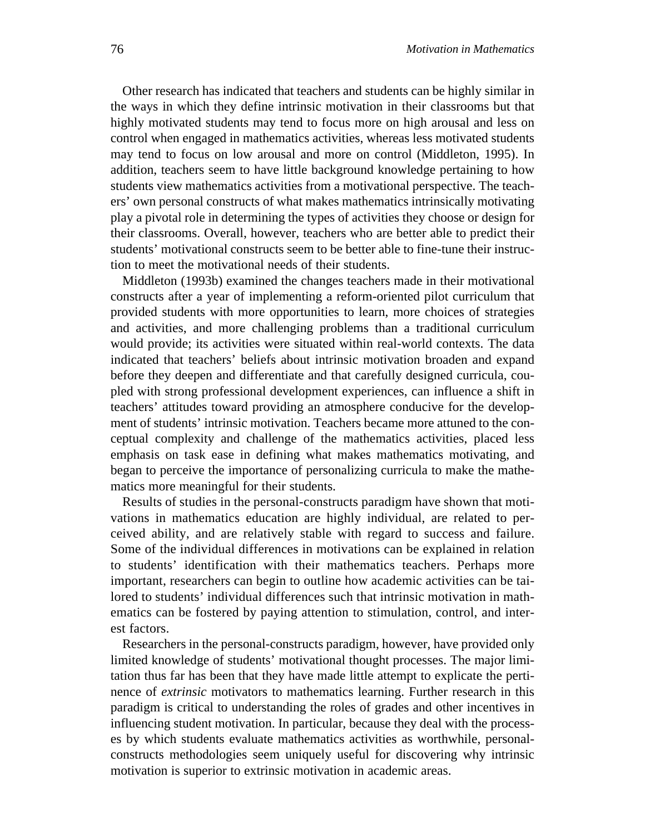Other research has indicated that teachers and students can be highly similar in the ways in which they define intrinsic motivation in their classrooms but that highly motivated students may tend to focus more on high arousal and less on control when engaged in mathematics activities, whereas less motivated students may tend to focus on low arousal and more on control (Middleton, 1995). In addition, teachers seem to have little background knowledge pertaining to how students view mathematics activities from a motivational perspective. The teachers' own personal constructs of what makes mathematics intrinsically motivating play a pivotal role in determining the types of activities they choose or design for their classrooms. Overall, however, teachers who are better able to predict their students' motivational constructs seem to be better able to fine-tune their instruction to meet the motivational needs of their students.

Middleton (1993b) examined the changes teachers made in their motivational constructs after a year of implementing a reform-oriented pilot curriculum that provided students with more opportunities to learn, more choices of strategies and activities, and more challenging problems than a traditional curriculum would provide; its activities were situated within real-world contexts. The data indicated that teachers' beliefs about intrinsic motivation broaden and expand before they deepen and differentiate and that carefully designed curricula, coupled with strong professional development experiences, can influence a shift in teachers' attitudes toward providing an atmosphere conducive for the development of students' intrinsic motivation. Teachers became more attuned to the conceptual complexity and challenge of the mathematics activities, placed less emphasis on task ease in defining what makes mathematics motivating, and began to perceive the importance of personalizing curricula to make the mathematics more meaningful for their students.

Results of studies in the personal-constructs paradigm have shown that motivations in mathematics education are highly individual, are related to perceived ability, and are relatively stable with regard to success and failure. Some of the individual differences in motivations can be explained in relation to students' identification with their mathematics teachers. Perhaps more important, researchers can begin to outline how academic activities can be tailored to students' individual differences such that intrinsic motivation in mathematics can be fostered by paying attention to stimulation, control, and interest factors.

Researchers in the personal-constructs paradigm, however, have provided only limited knowledge of students' motivational thought processes. The major limitation thus far has been that they have made little attempt to explicate the pertinence of *extrinsic* motivators to mathematics learning. Further research in this paradigm is critical to understanding the roles of grades and other incentives in influencing student motivation. In particular, because they deal with the processes by which students evaluate mathematics activities as worthwhile, personalconstructs methodologies seem uniquely useful for discovering why intrinsic motivation is superior to extrinsic motivation in academic areas.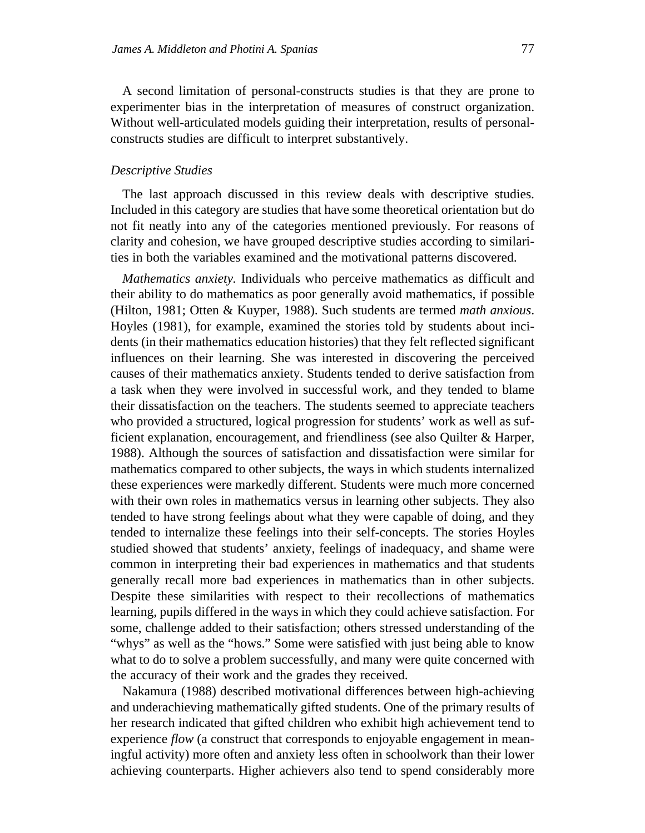A second limitation of personal-constructs studies is that they are prone to experimenter bias in the interpretation of measures of construct organization. Without well-articulated models guiding their interpretation, results of personalconstructs studies are difficult to interpret substantively.

### *Descriptive Studies*

The last approach discussed in this review deals with descriptive studies. Included in this category are studies that have some theoretical orientation but do not fit neatly into any of the categories mentioned previously. For reasons of clarity and cohesion, we have grouped descriptive studies according to similarities in both the variables examined and the motivational patterns discovered.

*Mathematics anxiety.* Individuals who perceive mathematics as difficult and their ability to do mathematics as poor generally avoid mathematics, if possible (Hilton, 1981; Otten & Kuyper, 1988). Such students are termed *math anxious*. Hoyles (1981), for example, examined the stories told by students about incidents (in their mathematics education histories) that they felt reflected significant influences on their learning. She was interested in discovering the perceived causes of their mathematics anxiety. Students tended to derive satisfaction from a task when they were involved in successful work, and they tended to blame their dissatisfaction on the teachers. The students seemed to appreciate teachers who provided a structured, logical progression for students' work as well as sufficient explanation, encouragement, and friendliness (see also Quilter & Harper, 1988). Although the sources of satisfaction and dissatisfaction were similar for mathematics compared to other subjects, the ways in which students internalized these experiences were markedly different. Students were much more concerned with their own roles in mathematics versus in learning other subjects. They also tended to have strong feelings about what they were capable of doing, and they tended to internalize these feelings into their self-concepts. The stories Hoyles studied showed that students' anxiety, feelings of inadequacy, and shame were common in interpreting their bad experiences in mathematics and that students generally recall more bad experiences in mathematics than in other subjects. Despite these similarities with respect to their recollections of mathematics learning, pupils differed in the ways in which they could achieve satisfaction. For some, challenge added to their satisfaction; others stressed understanding of the "whys" as well as the "hows." Some were satisfied with just being able to know what to do to solve a problem successfully, and many were quite concerned with the accuracy of their work and the grades they received.

Nakamura (1988) described motivational differences between high-achieving and underachieving mathematically gifted students. One of the primary results of her research indicated that gifted children who exhibit high achievement tend to experience *flow* (a construct that corresponds to enjoyable engagement in meaningful activity) more often and anxiety less often in schoolwork than their lower achieving counterparts. Higher achievers also tend to spend considerably more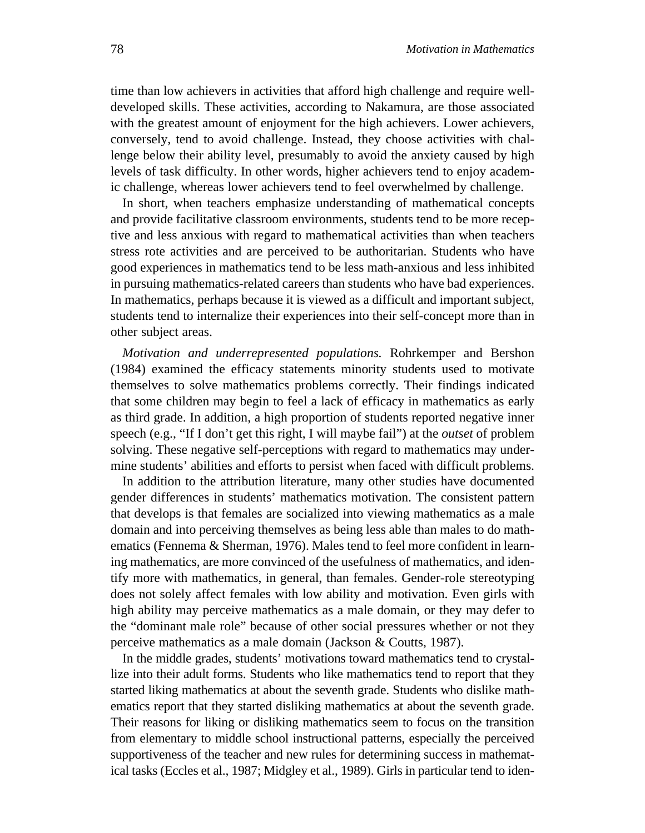time than low achievers in activities that afford high challenge and require welldeveloped skills. These activities, according to Nakamura, are those associated with the greatest amount of enjoyment for the high achievers. Lower achievers, conversely, tend to avoid challenge. Instead, they choose activities with challenge below their ability level, presumably to avoid the anxiety caused by high levels of task difficulty. In other words, higher achievers tend to enjoy academic challenge, whereas lower achievers tend to feel overwhelmed by challenge.

In short, when teachers emphasize understanding of mathematical concepts and provide facilitative classroom environments, students tend to be more receptive and less anxious with regard to mathematical activities than when teachers stress rote activities and are perceived to be authoritarian. Students who have good experiences in mathematics tend to be less math-anxious and less inhibited in pursuing mathematics-related careers than students who have bad experiences. In mathematics, perhaps because it is viewed as a difficult and important subject, students tend to internalize their experiences into their self-concept more than in other subject areas.

*Motivation and underrepresented populations.* Rohrkemper and Bershon (1984) examined the efficacy statements minority students used to motivate themselves to solve mathematics problems correctly. Their findings indicated that some children may begin to feel a lack of efficacy in mathematics as early as third grade. In addition, a high proportion of students reported negative inner speech (e.g., "If I don't get this right, I will maybe fail") at the *outset* of problem solving. These negative self-perceptions with regard to mathematics may undermine students' abilities and efforts to persist when faced with difficult problems.

In addition to the attribution literature, many other studies have documented gender differences in students' mathematics motivation. The consistent pattern that develops is that females are socialized into viewing mathematics as a male domain and into perceiving themselves as being less able than males to do mathematics (Fennema & Sherman, 1976). Males tend to feel more confident in learning mathematics, are more convinced of the usefulness of mathematics, and identify more with mathematics, in general, than females. Gender-role stereotyping does not solely affect females with low ability and motivation. Even girls with high ability may perceive mathematics as a male domain, or they may defer to the "dominant male role" because of other social pressures whether or not they perceive mathematics as a male domain (Jackson & Coutts, 1987).

In the middle grades, students' motivations toward mathematics tend to crystallize into their adult forms. Students who like mathematics tend to report that they started liking mathematics at about the seventh grade. Students who dislike mathematics report that they started disliking mathematics at about the seventh grade. Their reasons for liking or disliking mathematics seem to focus on the transition from elementary to middle school instructional patterns, especially the perceived supportiveness of the teacher and new rules for determining success in mathematical tasks (Eccles et al., 1987; Midgley et al., 1989). Girls in particular tend to iden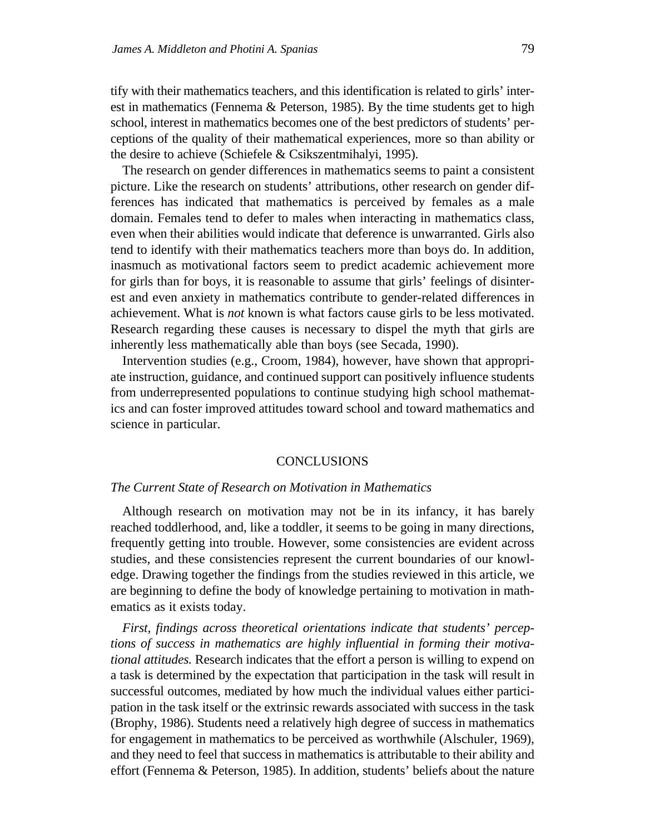tify with their mathematics teachers, and this identification is related to girls' interest in mathematics (Fennema & Peterson, 1985). By the time students get to high school, interest in mathematics becomes one of the best predictors of students' perceptions of the quality of their mathematical experiences, more so than ability or the desire to achieve (Schiefele & Csikszentmihalyi, 1995).

The research on gender differences in mathematics seems to paint a consistent picture. Like the research on students' attributions, other research on gender differences has indicated that mathematics is perceived by females as a male domain. Females tend to defer to males when interacting in mathematics class, even when their abilities would indicate that deference is unwarranted. Girls also tend to identify with their mathematics teachers more than boys do. In addition, inasmuch as motivational factors seem to predict academic achievement more for girls than for boys, it is reasonable to assume that girls' feelings of disinterest and even anxiety in mathematics contribute to gender-related differences in achievement. What is *not* known is what factors cause girls to be less motivated. Research regarding these causes is necessary to dispel the myth that girls are inherently less mathematically able than boys (see Secada, 1990).

Intervention studies (e.g., Croom, 1984), however, have shown that appropriate instruction, guidance, and continued support can positively influence students from underrepresented populations to continue studying high school mathematics and can foster improved attitudes toward school and toward mathematics and science in particular.

#### **CONCLUSIONS**

### *The Current State of Research on Motivation in Mathematics*

Although research on motivation may not be in its infancy, it has barely reached toddlerhood, and, like a toddler, it seems to be going in many directions, frequently getting into trouble. However, some consistencies are evident across studies, and these consistencies represent the current boundaries of our knowledge. Drawing together the findings from the studies reviewed in this article, we are beginning to define the body of knowledge pertaining to motivation in mathematics as it exists today.

*First, findings across theoretical orientations indicate that students' perceptions of success in mathematics are highly influential in forming their motivational attitudes.* Research indicates that the effort a person is willing to expend on a task is determined by the expectation that participation in the task will result in successful outcomes, mediated by how much the individual values either participation in the task itself or the extrinsic rewards associated with success in the task (Brophy, 1986). Students need a relatively high degree of success in mathematics for engagement in mathematics to be perceived as worthwhile (Alschuler, 1969), and they need to feel that success in mathematics is attributable to their ability and effort (Fennema & Peterson, 1985). In addition, students' beliefs about the nature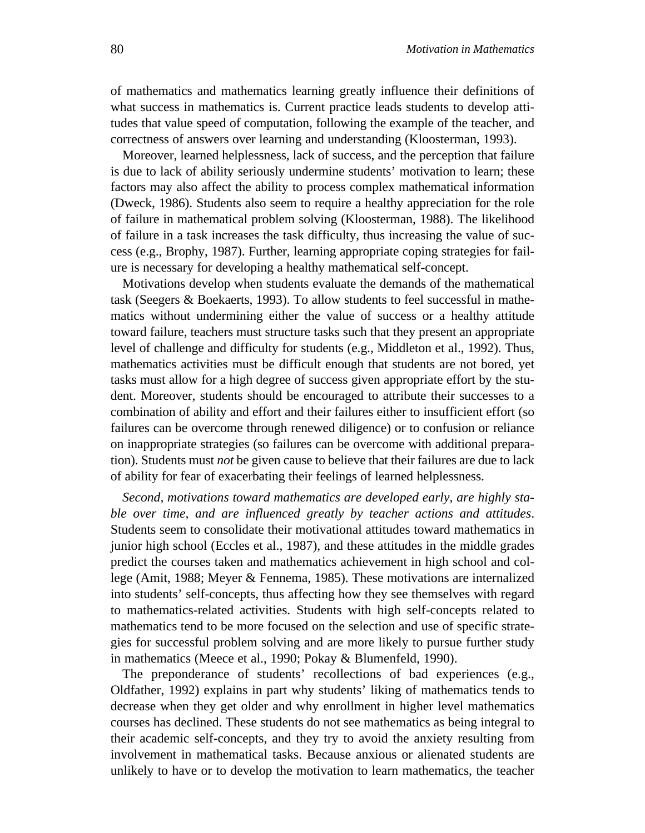of mathematics and mathematics learning greatly influence their definitions of what success in mathematics is. Current practice leads students to develop attitudes that value speed of computation, following the example of the teacher, and correctness of answers over learning and understanding (Kloosterman, 1993).

Moreover, learned helplessness, lack of success, and the perception that failure is due to lack of ability seriously undermine students' motivation to learn; these factors may also affect the ability to process complex mathematical information (Dweck, 1986). Students also seem to require a healthy appreciation for the role of failure in mathematical problem solving (Kloosterman, 1988). The likelihood of failure in a task increases the task difficulty, thus increasing the value of success (e.g., Brophy, 1987). Further, learning appropriate coping strategies for failure is necessary for developing a healthy mathematical self-concept.

Motivations develop when students evaluate the demands of the mathematical task (Seegers & Boekaerts, 1993). To allow students to feel successful in mathematics without undermining either the value of success or a healthy attitude toward failure, teachers must structure tasks such that they present an appropriate level of challenge and difficulty for students (e.g., Middleton et al., 1992). Thus, mathematics activities must be difficult enough that students are not bored, yet tasks must allow for a high degree of success given appropriate effort by the student. Moreover, students should be encouraged to attribute their successes to a combination of ability and effort and their failures either to insufficient effort (so failures can be overcome through renewed diligence) or to confusion or reliance on inappropriate strategies (so failures can be overcome with additional preparation). Students must *not* be given cause to believe that their failures are due to lack of ability for fear of exacerbating their feelings of learned helplessness.

*Second, motivations toward mathematics are developed early, are highly stable over time, and are influenced greatly by teacher actions and attitudes*. Students seem to consolidate their motivational attitudes toward mathematics in junior high school (Eccles et al., 1987), and these attitudes in the middle grades predict the courses taken and mathematics achievement in high school and college (Amit, 1988; Meyer & Fennema, 1985). These motivations are internalized into students' self-concepts, thus affecting how they see themselves with regard to mathematics-related activities. Students with high self-concepts related to mathematics tend to be more focused on the selection and use of specific strategies for successful problem solving and are more likely to pursue further study in mathematics (Meece et al., 1990; Pokay & Blumenfeld, 1990).

The preponderance of students' recollections of bad experiences (e.g., Oldfather, 1992) explains in part why students' liking of mathematics tends to decrease when they get older and why enrollment in higher level mathematics courses has declined. These students do not see mathematics as being integral to their academic self-concepts, and they try to avoid the anxiety resulting from involvement in mathematical tasks. Because anxious or alienated students are unlikely to have or to develop the motivation to learn mathematics, the teacher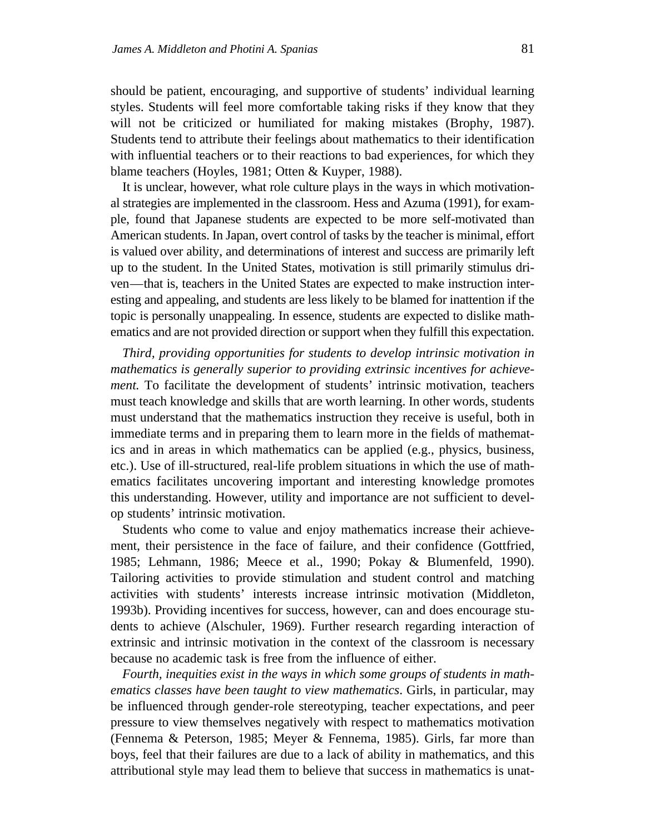should be patient, encouraging, and supportive of students' individual learning styles. Students will feel more comfortable taking risks if they know that they will not be criticized or humiliated for making mistakes (Brophy, 1987). Students tend to attribute their feelings about mathematics to their identification with influential teachers or to their reactions to bad experiences, for which they blame teachers (Hoyles, 1981; Otten & Kuyper, 1988).

It is unclear, however, what role culture plays in the ways in which motivational strategies are implemented in the classroom. Hess and Azuma (1991), for example, found that Japanese students are expected to be more self-motivated than American students. In Japan, overt control of tasks by the teacher is minimal, effort is valued over ability, and determinations of interest and success are primarily left up to the student. In the United States, motivation is still primarily stimulus driven—that is, teachers in the United States are expected to make instruction interesting and appealing, and students are less likely to be blamed for inattention if the topic is personally unappealing. In essence, students are expected to dislike mathematics and are not provided direction or support when they fulfill this expectation.

*Third, providing opportunities for students to develop intrinsic motivation in mathematics is generally superior to providing extrinsic incentives for achievement.* To facilitate the development of students' intrinsic motivation, teachers must teach knowledge and skills that are worth learning. In other words, students must understand that the mathematics instruction they receive is useful, both in immediate terms and in preparing them to learn more in the fields of mathematics and in areas in which mathematics can be applied (e.g., physics, business, etc.). Use of ill-structured, real-life problem situations in which the use of mathematics facilitates uncovering important and interesting knowledge promotes this understanding. However, utility and importance are not sufficient to develop students' intrinsic motivation.

Students who come to value and enjoy mathematics increase their achievement, their persistence in the face of failure, and their confidence (Gottfried, 1985; Lehmann, 1986; Meece et al., 1990; Pokay & Blumenfeld, 1990). Tailoring activities to provide stimulation and student control and matching activities with students' interests increase intrinsic motivation (Middleton, 1993b). Providing incentives for success, however, can and does encourage students to achieve (Alschuler, 1969). Further research regarding interaction of extrinsic and intrinsic motivation in the context of the classroom is necessary because no academic task is free from the influence of either.

*Fourth, inequities exist in the ways in which some groups of students in mathematics classes have been taught to view mathematics*. Girls, in particular, may be influenced through gender-role stereotyping, teacher expectations, and peer pressure to view themselves negatively with respect to mathematics motivation (Fennema & Peterson, 1985; Meyer & Fennema, 1985). Girls, far more than boys, feel that their failures are due to a lack of ability in mathematics, and this attributional style may lead them to believe that success in mathematics is unat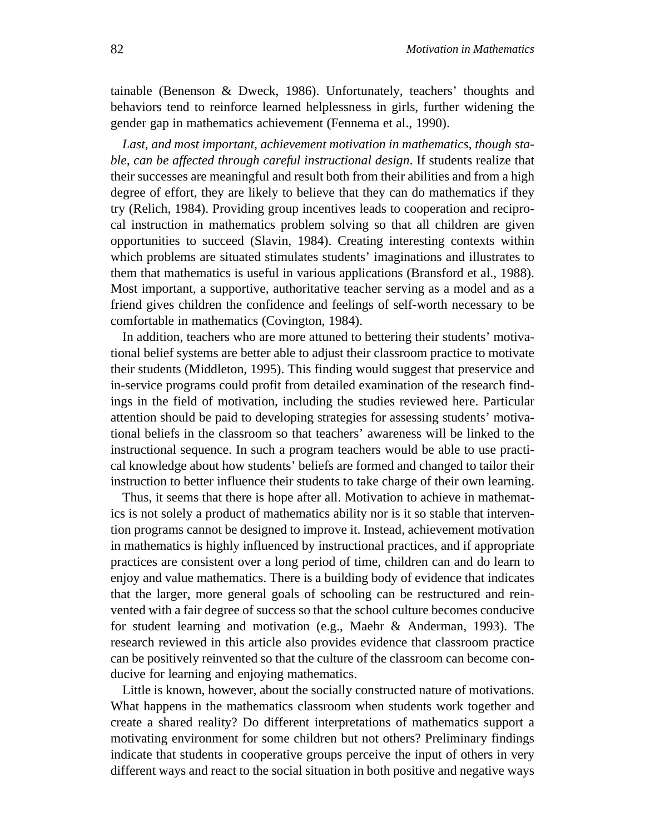tainable (Benenson & Dweck, 1986). Unfortunately, teachers' thoughts and behaviors tend to reinforce learned helplessness in girls, further widening the gender gap in mathematics achievement (Fennema et al., 1990).

*Last, and most important, achievement motivation in mathematics, though stable, can be affected through careful instructional design*. If students realize that their successes are meaningful and result both from their abilities and from a high degree of effort, they are likely to believe that they can do mathematics if they try (Relich, 1984). Providing group incentives leads to cooperation and reciprocal instruction in mathematics problem solving so that all children are given opportunities to succeed (Slavin, 1984). Creating interesting contexts within which problems are situated stimulates students' imaginations and illustrates to them that mathematics is useful in various applications (Bransford et al., 1988). Most important, a supportive, authoritative teacher serving as a model and as a friend gives children the confidence and feelings of self-worth necessary to be comfortable in mathematics (Covington, 1984).

In addition, teachers who are more attuned to bettering their students' motivational belief systems are better able to adjust their classroom practice to motivate their students (Middleton, 1995). This finding would suggest that preservice and in-service programs could profit from detailed examination of the research findings in the field of motivation, including the studies reviewed here. Particular attention should be paid to developing strategies for assessing students' motivational beliefs in the classroom so that teachers' awareness will be linked to the instructional sequence. In such a program teachers would be able to use practical knowledge about how students' beliefs are formed and changed to tailor their instruction to better influence their students to take charge of their own learning.

Thus, it seems that there is hope after all. Motivation to achieve in mathematics is not solely a product of mathematics ability nor is it so stable that intervention programs cannot be designed to improve it. Instead, achievement motivation in mathematics is highly influenced by instructional practices, and if appropriate practices are consistent over a long period of time, children can and do learn to enjoy and value mathematics. There is a building body of evidence that indicates that the larger, more general goals of schooling can be restructured and reinvented with a fair degree of success so that the school culture becomes conducive for student learning and motivation (e.g., Maehr & Anderman, 1993). The research reviewed in this article also provides evidence that classroom practice can be positively reinvented so that the culture of the classroom can become conducive for learning and enjoying mathematics.

Little is known, however, about the socially constructed nature of motivations. What happens in the mathematics classroom when students work together and create a shared reality? Do different interpretations of mathematics support a motivating environment for some children but not others? Preliminary findings indicate that students in cooperative groups perceive the input of others in very different ways and react to the social situation in both positive and negative ways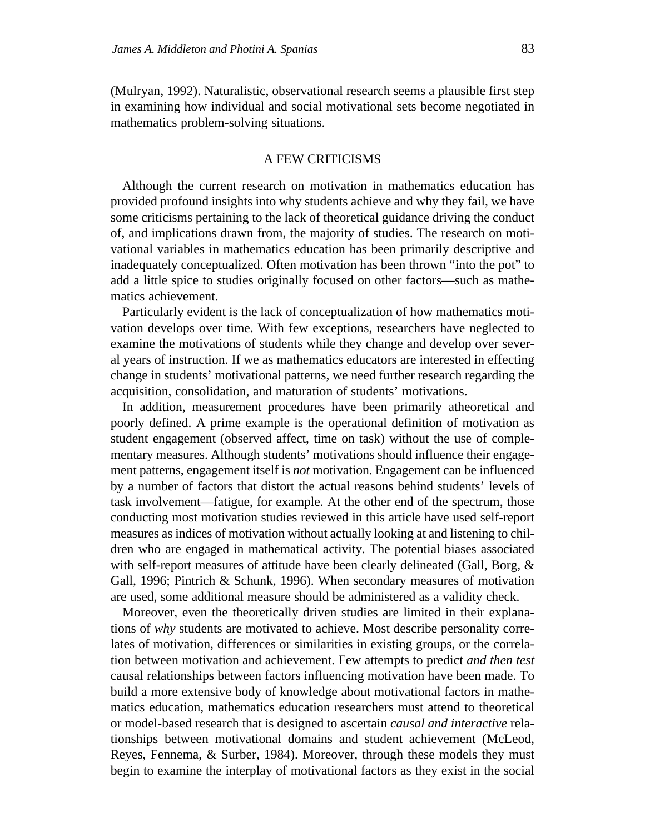(Mulryan, 1992). Naturalistic, observational research seems a plausible first step in examining how individual and social motivational sets become negotiated in mathematics problem-solving situations.

# A FEW CRITICISMS

Although the current research on motivation in mathematics education has provided profound insights into why students achieve and why they fail, we have some criticisms pertaining to the lack of theoretical guidance driving the conduct of, and implications drawn from, the majority of studies. The research on motivational variables in mathematics education has been primarily descriptive and inadequately conceptualized. Often motivation has been thrown "into the pot" to add a little spice to studies originally focused on other factors—such as mathematics achievement.

Particularly evident is the lack of conceptualization of how mathematics motivation develops over time. With few exceptions, researchers have neglected to examine the motivations of students while they change and develop over several years of instruction. If we as mathematics educators are interested in effecting change in students' motivational patterns, we need further research regarding the acquisition, consolidation, and maturation of students' motivations.

In addition, measurement procedures have been primarily atheoretical and poorly defined. A prime example is the operational definition of motivation as student engagement (observed affect, time on task) without the use of complementary measures. Although students' motivations should influence their engagement patterns, engagement itself is *not* motivation. Engagement can be influenced by a number of factors that distort the actual reasons behind students' levels of task involvement—fatigue, for example. At the other end of the spectrum, those conducting most motivation studies reviewed in this article have used self-report measures as indices of motivation without actually looking at and listening to children who are engaged in mathematical activity. The potential biases associated with self-report measures of attitude have been clearly delineated (Gall, Borg, & Gall, 1996; Pintrich & Schunk, 1996). When secondary measures of motivation are used, some additional measure should be administered as a validity check.

Moreover, even the theoretically driven studies are limited in their explanations of *why* students are motivated to achieve. Most describe personality correlates of motivation, differences or similarities in existing groups, or the correlation between motivation and achievement. Few attempts to predict *and then test* causal relationships between factors influencing motivation have been made. To build a more extensive body of knowledge about motivational factors in mathematics education, mathematics education researchers must attend to theoretical or model-based research that is designed to ascertain *causal and interactive* relationships between motivational domains and student achievement (McLeod, Reyes, Fennema, & Surber, 1984). Moreover, through these models they must begin to examine the interplay of motivational factors as they exist in the social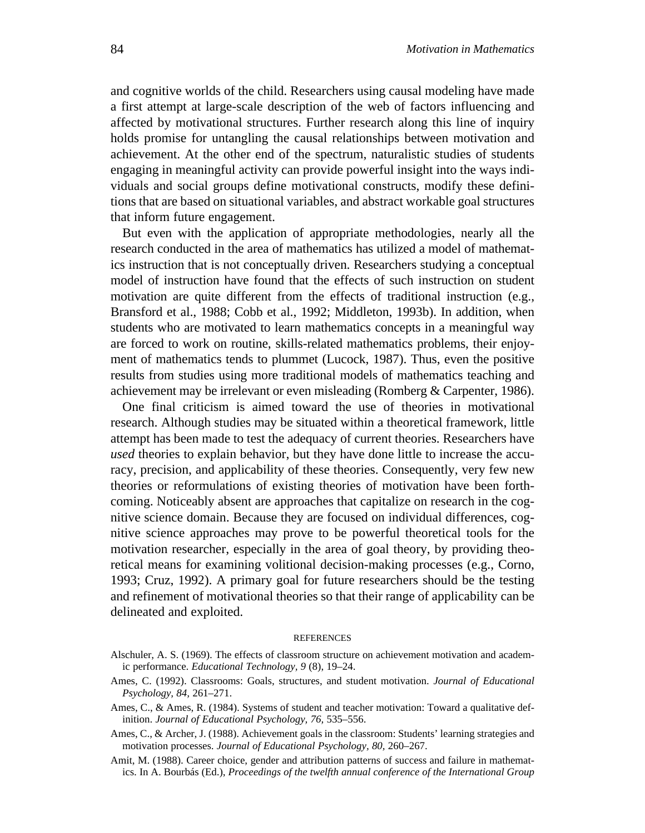and cognitive worlds of the child. Researchers using causal modeling have made a first attempt at large-scale description of the web of factors influencing and affected by motivational structures. Further research along this line of inquiry holds promise for untangling the causal relationships between motivation and achievement. At the other end of the spectrum, naturalistic studies of students engaging in meaningful activity can provide powerful insight into the ways individuals and social groups define motivational constructs, modify these definitions that are based on situational variables, and abstract workable goal structures that inform future engagement.

But even with the application of appropriate methodologies, nearly all the research conducted in the area of mathematics has utilized a model of mathematics instruction that is not conceptually driven. Researchers studying a conceptual model of instruction have found that the effects of such instruction on student motivation are quite different from the effects of traditional instruction (e.g., Bransford et al., 1988; Cobb et al., 1992; Middleton, 1993b). In addition, when students who are motivated to learn mathematics concepts in a meaningful way are forced to work on routine, skills-related mathematics problems, their enjoyment of mathematics tends to plummet (Lucock, 1987). Thus, even the positive results from studies using more traditional models of mathematics teaching and achievement may be irrelevant or even misleading (Romberg & Carpenter, 1986).

One final criticism is aimed toward the use of theories in motivational research. Although studies may be situated within a theoretical framework, little attempt has been made to test the adequacy of current theories. Researchers have *used* theories to explain behavior, but they have done little to increase the accuracy, precision, and applicability of these theories. Consequently, very few new theories or reformulations of existing theories of motivation have been forthcoming. Noticeably absent are approaches that capitalize on research in the cognitive science domain. Because they are focused on individual differences, cognitive science approaches may prove to be powerful theoretical tools for the motivation researcher, especially in the area of goal theory, by providing theoretical means for examining volitional decision-making processes (e.g., Corno, 1993; Cruz, 1992). A primary goal for future researchers should be the testing and refinement of motivational theories so that their range of applicability can be delineated and exploited.

#### REFERENCES

- Alschuler, A. S. (1969). The effects of classroom structure on achievement motivation and academic performance. *Educational Technology, 9* (8), 19–24.
- Ames, C. (1992). Classrooms: Goals, structures, and student motivation. *Journal of Educational Psychology, 84,* 261–271.
- Ames, C., & Ames, R. (1984). Systems of student and teacher motivation: Toward a qualitative definition. *Journal of Educational Psychology, 76,* 535–556.
- Ames, C., & Archer, J. (1988). Achievement goals in the classroom: Students' learning strategies and motivation processes. *Journal of Educational Psychology, 80,* 260–267.
- Amit, M. (1988). Career choice, gender and attribution patterns of success and failure in mathematics. In A. Bourbás (Ed.), *Proceedings of the twelfth annual conference of the International Group*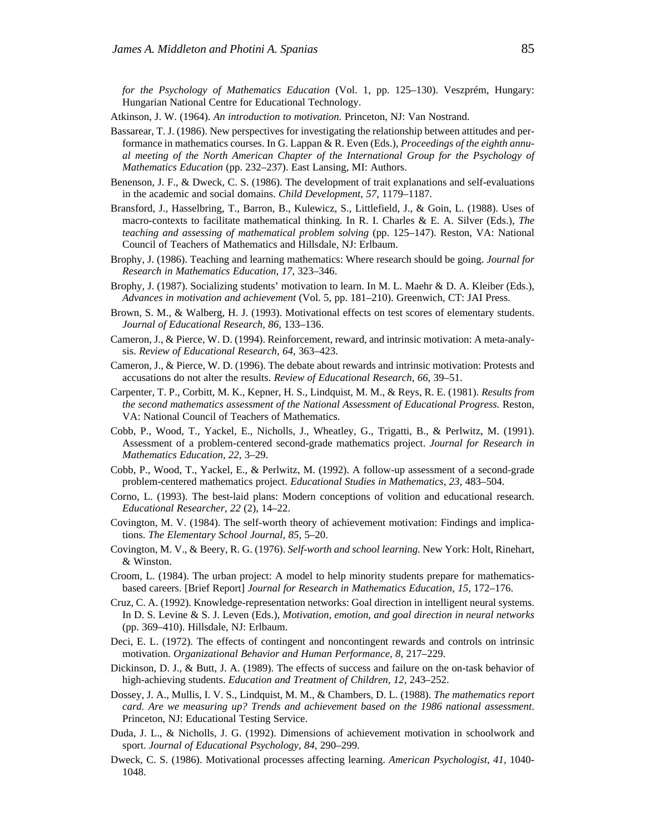*for the Psychology of Mathematics Education* (Vol. 1, pp. 125–130). Veszprém, Hungary: Hungarian National Centre for Educational Technology.

Atkinson, J. W. (1964). *An introduction to motivation.* Princeton, NJ: Van Nostrand.

- Bassarear, T. J. (1986). New perspectives for investigating the relationship between attitudes and performance in mathematics courses. In G. Lappan & R. Even (Eds.), *Proceedings of the eighth annual meeting of the North American Chapter of the International Group for the Psychology of Mathematics Education* (pp. 232–237). East Lansing, MI: Authors.
- Benenson, J. F., & Dweck, C. S. (1986). The development of trait explanations and self-evaluations in the academic and social domains. *Child Development, 57,* 1179–1187.
- Bransford, J., Hasselbring, T., Barron, B., Kulewicz, S., Littlefield, J., & Goin, L. (1988). Uses of macro-contexts to facilitate mathematical thinking. In R. I. Charles & E. A. Silver (Eds.), *The teaching and assessing of mathematical problem solving* (pp. 125–147). Reston, VA: National Council of Teachers of Mathematics and Hillsdale, NJ: Erlbaum.
- Brophy, J. (1986). Teaching and learning mathematics: Where research should be going. *Journal for Research in Mathematics Education, 17,* 323–346.
- Brophy, J. (1987). Socializing students' motivation to learn. In M. L. Maehr & D. A. Kleiber (Eds.), *Advances in motivation and achievement* (Vol. 5, pp. 181–210). Greenwich, CT: JAI Press.
- Brown, S. M., & Walberg, H. J. (1993). Motivational effects on test scores of elementary students. *Journal of Educational Research, 86,* 133–136.
- Cameron, J., & Pierce, W. D. (1994). Reinforcement, reward, and intrinsic motivation: A meta-analysis. *Review of Educational Research, 64,* 363–423.
- Cameron, J., & Pierce, W. D. (1996). The debate about rewards and intrinsic motivation: Protests and accusations do not alter the results. *Review of Educational Research, 66,* 39–51.
- Carpenter, T. P., Corbitt, M. K., Kepner, H. S., Lindquist, M. M., & Reys, R. E. (1981). *Results from the second mathematics assessment of the National Assessment of Educational Progress.* Reston, VA: National Council of Teachers of Mathematics.
- Cobb, P., Wood, T., Yackel, E., Nicholls, J., Wheatley, G., Trigatti, B., & Perlwitz, M. (1991). Assessment of a problem-centered second-grade mathematics project. *Journal for Research in Mathematics Education, 22,* 3–29.
- Cobb, P., Wood, T., Yackel, E., & Perlwitz, M. (1992). A follow-up assessment of a second-grade problem-centered mathematics project. *Educational Studies in Mathematics, 23,* 483–504.
- Corno, L. (1993). The best-laid plans: Modern conceptions of volition and educational research. *Educational Researcher, 22* (2), 14–22.
- Covington, M. V. (1984). The self-worth theory of achievement motivation: Findings and implications. *The Elementary School Journal, 85,* 5–20.
- Covington, M. V., & Beery, R. G. (1976). *Self-worth and school learning.* New York: Holt, Rinehart, & Winston.
- Croom, L. (1984). The urban project: A model to help minority students prepare for mathematicsbased careers. [Brief Report] *Journal for Research in Mathematics Education, 15,* 172–176.
- Cruz, C. A. (1992). Knowledge-representation networks: Goal direction in intelligent neural systems. In D. S. Levine & S. J. Leven (Eds.), *Motivation, emotion, and goal direction in neural networks* (pp. 369–410). Hillsdale, NJ: Erlbaum.
- Deci, E. L. (1972). The effects of contingent and noncontingent rewards and controls on intrinsic motivation. *Organizational Behavior and Human Performance, 8,* 217–229.
- Dickinson, D. J., & Butt, J. A. (1989). The effects of success and failure on the on-task behavior of high-achieving students. *Education and Treatment of Children, 12,* 243–252.
- Dossey, J. A., Mullis, I. V. S., Lindquist, M. M., & Chambers, D. L. (1988). *The mathematics report card. Are we measuring up? Trends and achievement based on the 1986 national assessment*. Princeton, NJ: Educational Testing Service.
- Duda, J. L., & Nicholls, J. G. (1992). Dimensions of achievement motivation in schoolwork and sport. *Journal of Educational Psychology, 84,* 290–299.
- Dweck, C. S. (1986). Motivational processes affecting learning. *American Psychologist, 41,* 1040- 1048.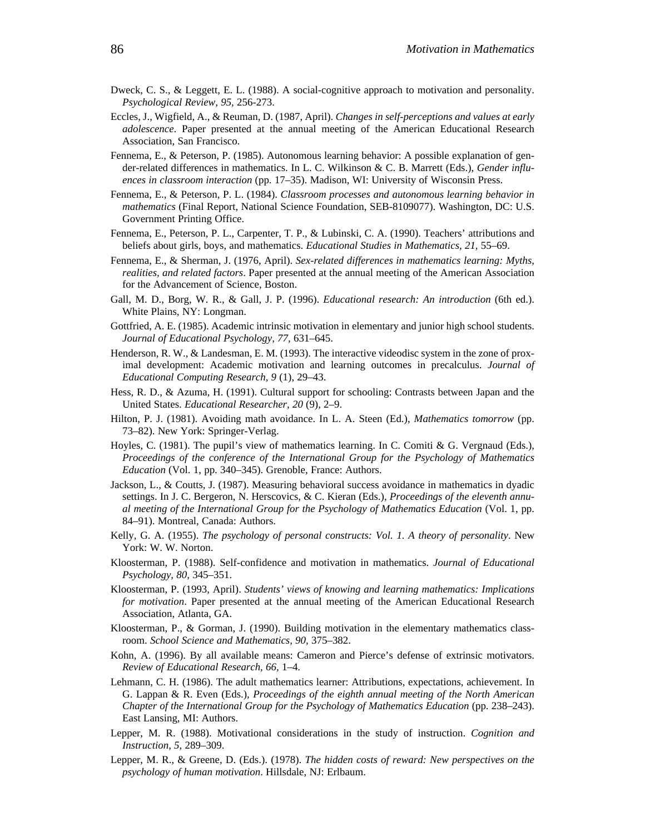- Dweck, C. S., & Leggett, E. L. (1988). A social-cognitive approach to motivation and personality. *Psychological Review, 95,* 256-273.
- Eccles, J., Wigfield, A., & Reuman, D. (1987, April). *Changes in self-perceptions and values at early adolescence*. Paper presented at the annual meeting of the American Educational Research Association, San Francisco.
- Fennema, E., & Peterson, P. (1985). Autonomous learning behavior: A possible explanation of gender-related differences in mathematics. In L. C. Wilkinson & C. B. Marrett (Eds.), *Gender influences in classroom interaction* (pp. 17–35). Madison, WI: University of Wisconsin Press.
- Fennema, E., & Peterson, P. L. (1984). *Classroom processes and autonomous learning behavior in mathematics* (Final Report, National Science Foundation, SEB-8109077). Washington, DC: U.S. Government Printing Office.
- Fennema, E., Peterson, P. L., Carpenter, T. P., & Lubinski, C. A. (1990). Teachers' attributions and beliefs about girls, boys, and mathematics. *Educational Studies in Mathematics, 21,* 55–69.
- Fennema, E., & Sherman, J. (1976, April). *Sex-related differences in mathematics learning: Myths, realities, and related factors*. Paper presented at the annual meeting of the American Association for the Advancement of Science, Boston.
- Gall, M. D., Borg, W. R., & Gall, J. P. (1996). *Educational research: An introduction* (6th ed.). White Plains, NY: Longman.
- Gottfried, A. E. (1985). Academic intrinsic motivation in elementary and junior high school students. *Journal of Educational Psychology, 77,* 631–645.
- Henderson, R. W., & Landesman, E. M. (1993). The interactive videodisc system in the zone of proximal development: Academic motivation and learning outcomes in precalculus. *Journal of Educational Computing Research, 9* (1), 29–43.
- Hess, R. D., & Azuma, H. (1991). Cultural support for schooling: Contrasts between Japan and the United States. *Educational Researcher, 20* (9), 2–9.
- Hilton, P. J. (1981). Avoiding math avoidance. In L. A. Steen (Ed.), *Mathematics tomorrow* (pp. 73–82). New York: Springer-Verlag.
- Hoyles, C. (1981). The pupil's view of mathematics learning. In C. Comiti & G. Vergnaud (Eds.), *Proceedings of the conference of the International Group for the Psychology of Mathematics Education* (Vol. 1, pp. 340–345). Grenoble, France: Authors.
- Jackson, L., & Coutts, J. (1987). Measuring behavioral success avoidance in mathematics in dyadic settings. In J. C. Bergeron, N. Herscovics, & C. Kieran (Eds.), *Proceedings of the eleventh annual meeting of the International Group for the Psychology of Mathematics Education* (Vol. 1, pp. 84–91). Montreal, Canada: Authors.
- Kelly, G. A. (1955). *The psychology of personal constructs: Vol. 1. A theory of personality*. New York: W. W. Norton.
- Kloosterman, P. (1988). Self-confidence and motivation in mathematics. *Journal of Educational Psychology, 80,* 345–351.
- Kloosterman, P. (1993, April). *Students' views of knowing and learning mathematics: Implications for motivation*. Paper presented at the annual meeting of the American Educational Research Association, Atlanta, GA.
- Kloosterman, P., & Gorman, J. (1990). Building motivation in the elementary mathematics classroom. *School Science and Mathematics, 90,* 375–382.
- Kohn, A. (1996). By all available means: Cameron and Pierce's defense of extrinsic motivators. *Review of Educational Research, 66,* 1–4.
- Lehmann, C. H. (1986). The adult mathematics learner: Attributions, expectations, achievement. In G. Lappan & R. Even (Eds.), *Proceedings of the eighth annual meeting of the North American Chapter of the International Group for the Psychology of Mathematics Education* (pp. 238–243). East Lansing, MI: Authors.
- Lepper, M. R. (1988). Motivational considerations in the study of instruction. *Cognition and Instruction, 5,* 289–309.
- Lepper, M. R., & Greene, D. (Eds.). (1978). *The hidden costs of reward: New perspectives on the psychology of human motivation*. Hillsdale, NJ: Erlbaum.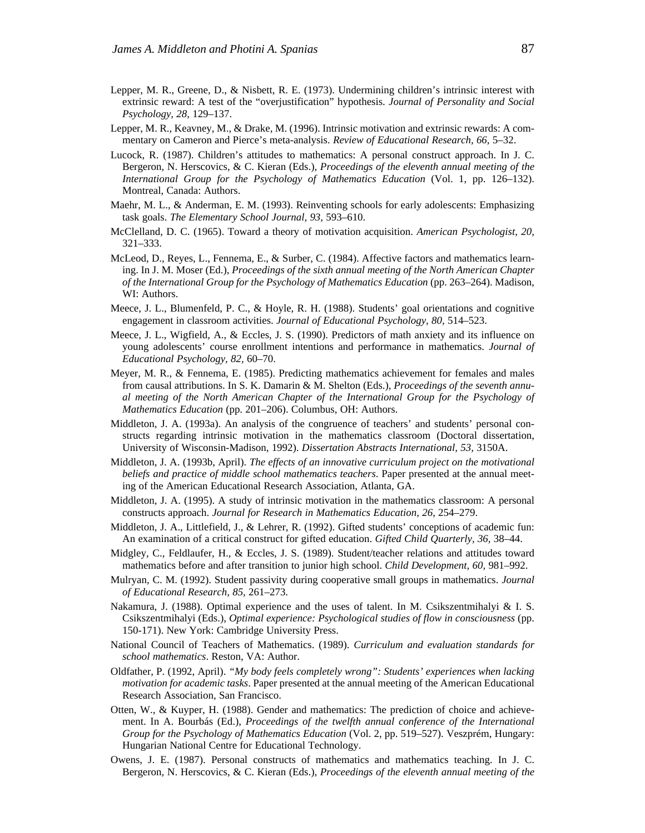- Lepper, M. R., Greene, D., & Nisbett, R. E. (1973). Undermining children's intrinsic interest with extrinsic reward: A test of the "overjustification" hypothesis. *Journal of Personality and Social Psychology, 28,* 129–137.
- Lepper, M. R., Keavney, M., & Drake, M. (1996). Intrinsic motivation and extrinsic rewards: A commentary on Cameron and Pierce's meta-analysis. *Review of Educational Research, 66*, 5–32.
- Lucock, R. (1987). Children's attitudes to mathematics: A personal construct approach. In J. C. Bergeron, N. Herscovics, & C. Kieran (Eds.), *Proceedings of the eleventh annual meeting of the International Group for the Psychology of Mathematics Education* (Vol. 1, pp. 126–132). Montreal, Canada: Authors.
- Maehr, M. L., & Anderman, E. M. (1993). Reinventing schools for early adolescents: Emphasizing task goals. *The Elementary School Journal, 93,* 593–610.
- McClelland, D. C. (1965). Toward a theory of motivation acquisition. *American Psychologist, 20,* 321–333.
- McLeod, D., Reyes, L., Fennema, E., & Surber, C. (1984). Affective factors and mathematics learning. In J. M. Moser (Ed.), *Proceedings of the sixth annual meeting of the North American Chapter of the International Group for the Psychology of Mathematics Education* (pp. 263–264). Madison, WI: Authors.
- Meece, J. L., Blumenfeld, P. C., & Hoyle, R. H. (1988). Students' goal orientations and cognitive engagement in classroom activities. *Journal of Educational Psychology, 80,* 514–523.
- Meece, J. L., Wigfield, A., & Eccles, J. S. (1990). Predictors of math anxiety and its influence on young adolescents' course enrollment intentions and performance in mathematics. *Journal of Educational Psychology, 82,* 60–70.
- Meyer, M. R., & Fennema, E. (1985). Predicting mathematics achievement for females and males from causal attributions. In S. K. Damarin & M. Shelton (Eds.), *Proceedings of the seventh annual meeting of the North American Chapter of the International Group for the Psychology of Mathematics Education* (pp. 201–206). Columbus, OH: Authors.
- Middleton, J. A. (1993a). An analysis of the congruence of teachers' and students' personal constructs regarding intrinsic motivation in the mathematics classroom (Doctoral dissertation, University of Wisconsin-Madison, 1992). *Dissertation Abstracts International, 53,* 3150A.
- Middleton, J. A. (1993b, April). *The effects of an innovative curriculum project on the motivational beliefs and practice of middle school mathematics teachers*. Paper presented at the annual meeting of the American Educational Research Association, Atlanta, GA.
- Middleton, J. A. (1995). A study of intrinsic motivation in the mathematics classroom: A personal constructs approach. *Journal for Research in Mathematics Education, 26,* 254–279.
- Middleton, J. A., Littlefield, J., & Lehrer, R. (1992). Gifted students' conceptions of academic fun: An examination of a critical construct for gifted education. *Gifted Child Quarterly, 36,* 38–44.
- Midgley, C., Feldlaufer, H., & Eccles, J. S. (1989). Student/teacher relations and attitudes toward mathematics before and after transition to junior high school. *Child Development, 60,* 981–992.
- Mulryan, C. M. (1992). Student passivity during cooperative small groups in mathematics. *Journal of Educational Research, 85,* 261–273.
- Nakamura, J. (1988). Optimal experience and the uses of talent. In M. Csikszentmihalyi & I. S. Csikszentmihalyi (Eds.), *Optimal experience: Psychological studies of flow in consciousness* (pp. 150-171). New York: Cambridge University Press.
- National Council of Teachers of Mathematics. (1989). *Curriculum and evaluation standards for school mathematics*. Reston, VA: Author.
- Oldfather, P. (1992, April). *"My body feels completely wrong": Students' experiences when lacking motivation for academic tasks*. Paper presented at the annual meeting of the American Educational Research Association, San Francisco.
- Otten, W., & Kuyper, H. (1988). Gender and mathematics: The prediction of choice and achievement. In A. Bourbás (Ed.), *Proceedings of the twelfth annual conference of the International Group for the Psychology of Mathematics Education* (Vol. 2, pp. 519–527). Veszprém, Hungary: Hungarian National Centre for Educational Technology.
- Owens, J. E. (1987). Personal constructs of mathematics and mathematics teaching. In J. C. Bergeron, N. Herscovics, & C. Kieran (Eds.), *Proceedings of the eleventh annual meeting of the*